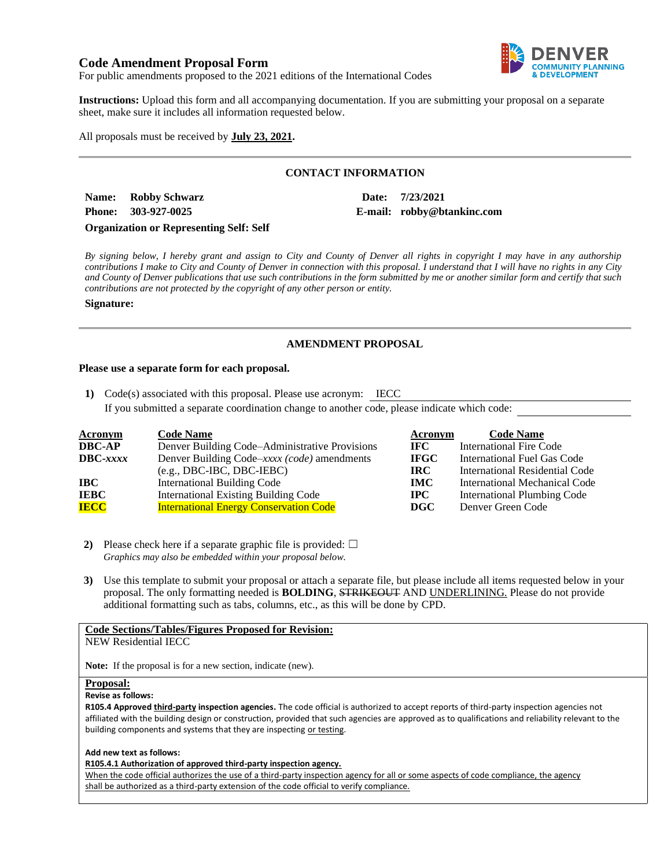# **Code Amendment Proposal Form**



For public amendments proposed to the 2021 editions of the International Codes

**Instructions:** Upload this form and all accompanying documentation. If you are submitting your proposal on a separate sheet, make sure it includes all information requested below.

All proposals must be received by **July 23, 2021.**

## **CONTACT INFORMATION**

**Name: Robby Schwarz Date: 7/23/2021 Phone: 303-927-0025 E-mail: robby@btankinc.com**

**Organization or Representing Self: Self**

*By signing below, I hereby grant and assign to City and County of Denver all rights in copyright I may have in any authorship contributions I make to City and County of Denver in connection with this proposal. I understand that I will have no rights in any City and County of Denver publications that use such contributions in the form submitted by me or another similar form and certify that such contributions are not protected by the copyright of any other person or entity.* 

### **Signature:**

# **AMENDMENT PROPOSAL**

### **Please use a separate form for each proposal.**

**1)** Code(s) associated with this proposal. Please use acronym: IECC

If you submitted a separate coordination change to another code, please indicate which code:

| <b>Acronym</b>    | <b>Code Name</b>                               | Acronym     | <b>Code Name</b>               |
|-------------------|------------------------------------------------|-------------|--------------------------------|
| <b>DBC-AP</b>     | Denver Building Code–Administrative Provisions | IFC -       | International Fire Code        |
| $\text{DBC}-xxxx$ | Denver Building Code–xxxx (code) amendments    | <b>IFGC</b> | International Fuel Gas Code    |
|                   | $(e.g., DBC-IBC, DBC-IEBC)$                    | IRC.        | International Residential Code |
| IBC               | <b>International Building Code</b>             | <b>IMC</b>  | International Mechanical Code  |
| <b>IEBC</b>       | <b>International Existing Building Code</b>    | $\bf IPC$   | International Plumbing Code    |
| <b>IECC</b>       | <b>International Energy Conservation Code</b>  | DGC         | Denver Green Code              |

**2)** Please check here if a separate graphic file is provided:  $\Box$ *Graphics may also be embedded within your proposal below.*

**3)** Use this template to submit your proposal or attach a separate file, but please include all items requested below in your proposal. The only formatting needed is **BOLDING**, STRIKEOUT AND UNDERLINING. Please do not provide additional formatting such as tabs, columns, etc., as this will be done by CPD.

# **Code Sections/Tables/Figures Proposed for Revision:**

NEW Residential IECC

**Note:** If the proposal is for a new section, indicate (new).

#### **Proposal:**

#### **Revise as follows:**

**R105.4 Approved third-party inspection agencies.** The code official is authorized to accept reports of third-party inspection agencies not affiliated with the building design or construction, provided that such agencies are approved as to qualifications and reliability relevant to the building components and systems that they are inspecting or testing.

#### **Add new text as follows:**

**R105.4.1 Authorization of approved third-party inspection agency.**

When the code official authorizes the use of a third-party inspection agency for all or some aspects of code compliance, the agency shall be authorized as a third-party extension of the code official to verify compliance.